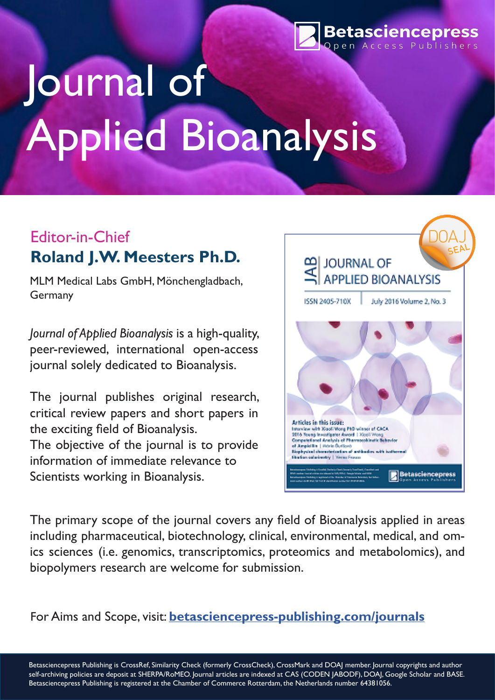

# Journal of Applied Bioanalysis

# Editor-in-Chief **Roland J.W. Meesters Ph.D.**

MLM Medical Labs GmbH, Mönchengladbach, Germany

*Journal of Applied Bioanalysis* is a high-quality, peer-reviewed, international open-access journal solely dedicated to Bioanalysis.

The journal publishes original research, critical review papers and short papers in the exciting field of Bioanalysis. The objective of the journal is to provide information of immediate relevance to Scientists working in Bioanalysis.



The primary scope of the journal covers any field of Bioanalysis applied in areas including pharmaceutical, biotechnology, clinical, environmental, medical, and omics sciences (i.e. genomics, transcriptomics, proteomics and metabolomics), and biopolymers research are welcome for submission.

For Aims and Scope, visit: **[betasciencepress-publishing.com/journals](http://betasciencepress-publishing.com/journals)**